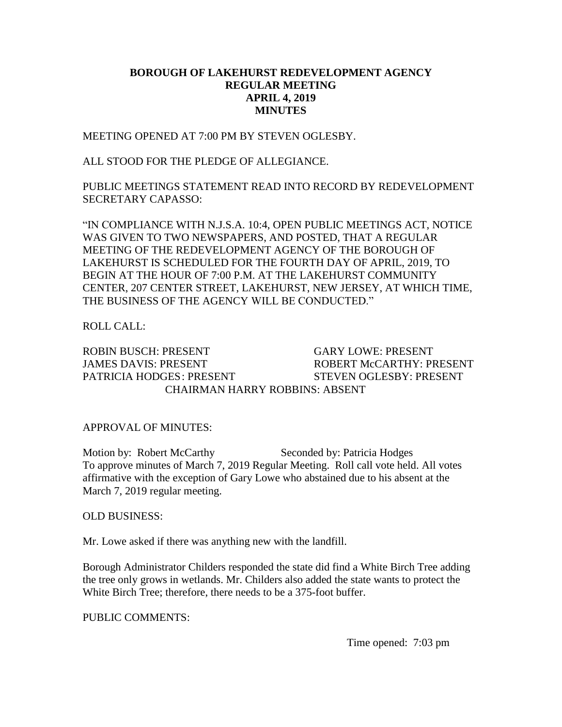## **BOROUGH OF LAKEHURST REDEVELOPMENT AGENCY REGULAR MEETING APRIL 4, 2019 MINUTES**

MEETING OPENED AT 7:00 PM BY STEVEN OGLESBY.

ALL STOOD FOR THE PLEDGE OF ALLEGIANCE.

PUBLIC MEETINGS STATEMENT READ INTO RECORD BY REDEVELOPMENT SECRETARY CAPASSO:

"IN COMPLIANCE WITH N.J.S.A. 10:4, OPEN PUBLIC MEETINGS ACT, NOTICE WAS GIVEN TO TWO NEWSPAPERS, AND POSTED, THAT A REGULAR MEETING OF THE REDEVELOPMENT AGENCY OF THE BOROUGH OF LAKEHURST IS SCHEDULED FOR THE FOURTH DAY OF APRIL, 2019, TO BEGIN AT THE HOUR OF 7:00 P.M. AT THE LAKEHURST COMMUNITY CENTER, 207 CENTER STREET, LAKEHURST, NEW JERSEY, AT WHICH TIME, THE BUSINESS OF THE AGENCY WILL BE CONDUCTED."

ROLL CALL:

ROBIN BUSCH: PRESENT GARY LOWE: PRESENT JAMES DAVIS: PRESENT ROBERT McCARTHY: PRESENT PATRICIA HODGES: PRESENT STEVEN OGLESBY: PRESENT CHAIRMAN HARRY ROBBINS: ABSENT

APPROVAL OF MINUTES:

Motion by: Robert McCarthy Seconded by: Patricia Hodges To approve minutes of March 7, 2019 Regular Meeting. Roll call vote held. All votes affirmative with the exception of Gary Lowe who abstained due to his absent at the March 7, 2019 regular meeting.

OLD BUSINESS:

Mr. Lowe asked if there was anything new with the landfill.

Borough Administrator Childers responded the state did find a White Birch Tree adding the tree only grows in wetlands. Mr. Childers also added the state wants to protect the White Birch Tree; therefore, there needs to be a 375-foot buffer.

PUBLIC COMMENTS:

Time opened: 7:03 pm